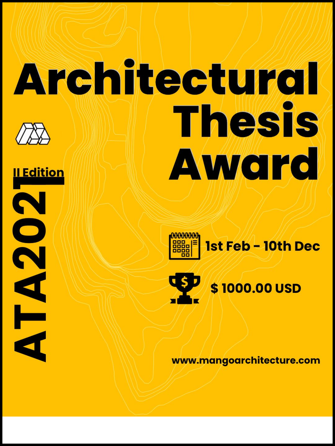# Architectural Thesis Award Il Edition N

**Q** 

K

d



\$1000.00 USD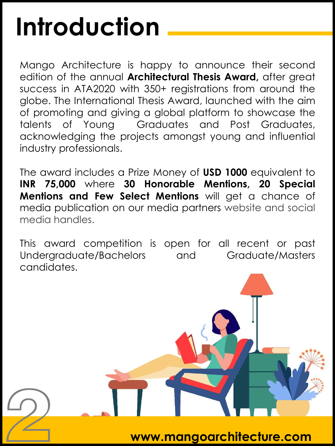## **Introduction**

2

Mango Architecture is happy to announce their second edition of the annual **Architectural Thesis Award,** after great success in ATA2020 with 350+ registrations from around the globe. The International Thesis Award, launched with the aim of promoting and giving a global platform to showcase the talents of Young Graduates and Post Graduates, acknowledging the projects amongst young and influential industry professionals.

The award includes a Prize Money of **USD 1000** equivalent to **INR 75,000** where **30 Honorable Mentions, 20 Special Mentions and Few Select Mentions** will get a chance of media publication on our media partners website and social media handles.

This award competition is open for all recent or past Undergraduate/Bachelors and Graduate/Masters candidates.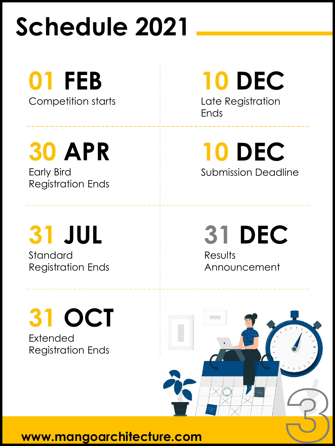## **Schedule 2021**

**01 FEB** 

Competition starts

**30 APR**  Early Bird Registration Ends

**31 JUL**  Standard Registration Ends **10 DEC** 

Late Registration Ends

**10 DEC**  Submission Deadline

**31 DEC Results** Announcement

**31 OCT**  Extended Registration Ends

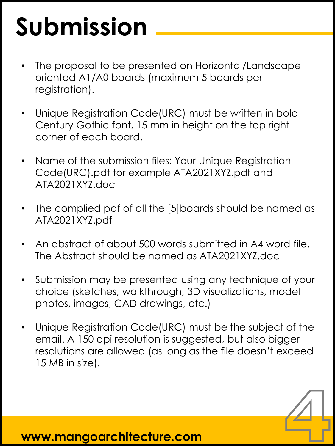# **Submission**

- The proposal to be presented on Horizontal/Landscape oriented A1/A0 boards (maximum 5 boards per registration).
- Unique Registration Code(URC) must be written in bold Century Gothic font, 15 mm in height on the top right corner of each board.
- Name of the submission files: Your Unique Registration Code(URC).pdf for example ATA2021XYZ.pdf and ATA2021XYZ.doc
- The complied pdf of all the [5]boards should be named as ATA2021XYZ.pdf
- An abstract of about 500 words submitted in A4 word file. The Abstract should be named as ATA2021XYZ.doc
- Submission may be presented using any technique of your choice (sketches, walkthrough, 3D visualizations, model photos, images, CAD drawings, etc.)
- Unique Registration Code(URC) must be the subject of the email. A 150 dpi resolution is suggested, but also bigger resolutions are allowed (as long as the file doesn't exceed 15 MB in size).

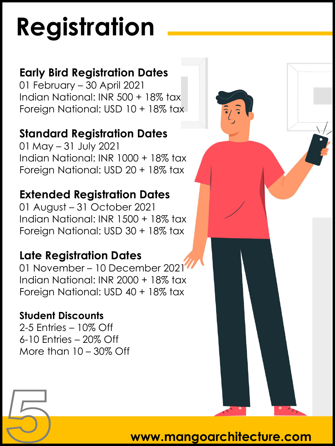# **Registration**

#### **Early Bird Registration Dates**

01 February – 30 April 2021 Indian National: INR 500 + 18% tax Foreign National: USD 10 + 18% tax

#### **Standard Registration Dates**

01 May – 31 July 2021 Indian National: INR 1000 + 18% tax Foreign National: USD 20 + 18% tax

#### **Extended Registration Dates**

01 August – 31 October 2021 Indian National: INR 1500 + 18% tax Foreign National: USD 30 + 18% tax

#### **Late Registration Dates**

01 November – 10 December 2021 Indian National: INR 2000 + 18% tax Foreign National: USD 40 + 18% tax

#### **Student Discounts**

2-5 Entries – 10% Off 6-10 Entries – 20% Off More than 10 – 30% Off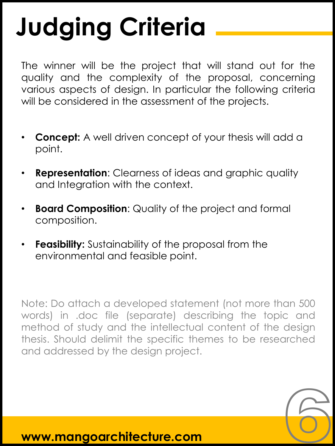# **Judging Criteria**

The winner will be the project that will stand out for the quality and the complexity of the proposal, concerning various aspects of design. In particular the following criteria will be considered in the assessment of the projects.

- **Concept:** A well driven concept of your thesis will add a point.
- **Representation:** Clearness of ideas and graphic quality and Integration with the context.
- **Board Composition**: Quality of the project and formal composition.
- **Feasibility:** Sustainability of the proposal from the environmental and feasible point.

Note: Do attach a developed statement (not more than 500 words) in .doc file (separate) describing the topic and method of study and the intellectual content of the design thesis. Should delimit the specific themes to be researched and addressed by the design project.

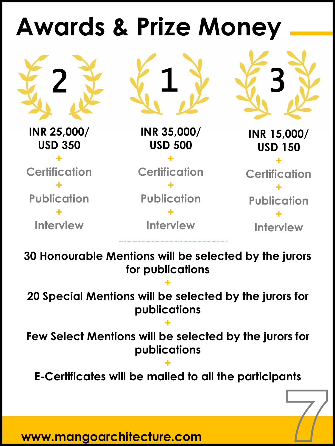#### **Awards & Prize Money**

**INR 25,000/ USD 350 + Certification + Publication + Interview**

2 文 《 1 》 《 3

**INR 35,000/ USD 500**

**+ Certification + Publication**

**+ Interview** **INR 15,000/**

**USD 150 + Certification + Publication +**

**Interview**

**30 Honourable Mentions will be selected by the jurors for publications** 

**20 Special Mentions will be selected by the jurors for publications**

**+**

**+ Few Select Mentions will be selected by the jurors for publications**

**+ E-Certificates will be mailed to all the participants**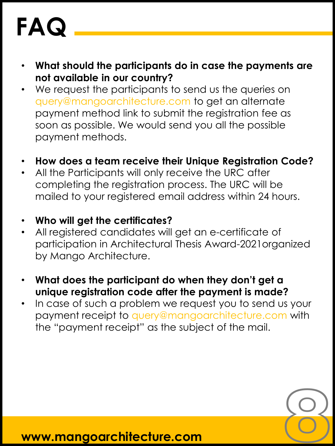## **FAQ**

- **What should the participants do in case the payments are not available in our country?**
- We request the participants to send us the queries on query@mangoarchitecture.com to get an alternate payment method link to submit the registration fee as soon as possible. We would send you all the possible payment methods.
- **How does a team receive their Unique Registration Code?**
- All the Participants will only receive the URC after completing the registration process. The URC will be mailed to your registered email address within 24 hours.
- **Who will get the certificates?**
- All registered candidates will get an e-certificate of participation in Architectural Thesis Award-2021organized by Mango Architecture.
- **What does the participant do when they don't get a unique registration code after the payment is made?**
- In case of such a problem we request you to send us your payment receipt to query@mangoarchitecture.com with the "payment receipt" as the subject of the mail.

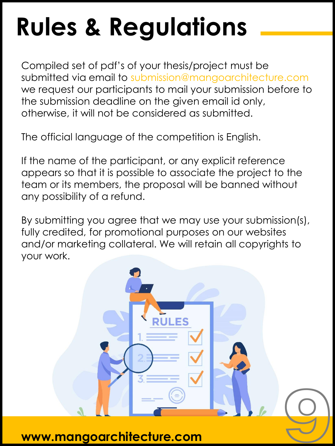## **Rules & Regulations**

Compiled set of pdf's of your thesis/project must be submitted via email to submission@mangoarchitecture.com we request our participants to mail your submission before to the submission deadline on the given email id only, otherwise, it will not be considered as submitted.

The official language of the competition is English.

If the name of the participant, or any explicit reference appears so that it is possible to associate the project to the team or its members, the proposal will be banned without any possibility of a refund.

By submitting you agree that we may use your submission(s), fully credited, for promotional purposes on our websites and/or marketing collateral. We will retain all copyrights to your work.

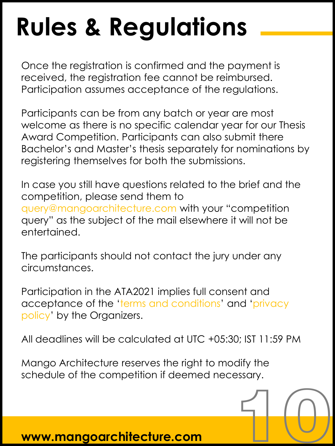## **Rules & Regulations**

Once the registration is confirmed and the payment is received, the registration fee cannot be reimbursed. Participation assumes acceptance of the regulations.

Participants can be from any batch or year are most welcome as there is no specific calendar year for our Thesis Award Competition. Participants can also submit there Bachelor's and Master's thesis separately for nominations by registering themselves for both the submissions.

In case you still have questions related to the brief and the competition, please send them to query@mangoarchitecture.com with your "competition query" as the subject of the mail elsewhere it will not be entertained.

The participants should not contact the jury under any circumstances.

Participation in the ATA2021 implies full consent and acceptance of the 'terms and conditions' and 'privacy policy' by the Organizers.

All deadlines will be calculated at UTC +05:30; IST 11:59 PM

10

Mango Architecture reserves the right to modify the schedule of the competition if deemed necessary.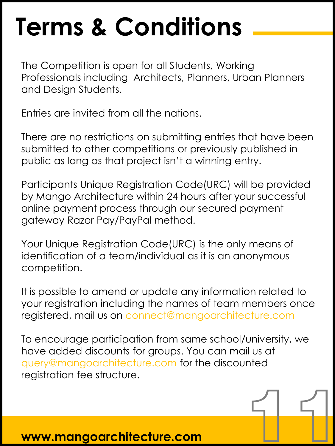### **Terms & Conditions**

The Competition is open for all Students, Working Professionals including Architects, Planners, Urban Planners and Design Students.

Entries are invited from all the nations.

There are no restrictions on submitting entries that have been submitted to other competitions or previously published in public as long as that project isn't a winning entry.

Participants Unique Registration Code(URC) will be provided by Mango Architecture within 24 hours after your successful online payment process through our secured payment gateway Razor Pay/PayPal method.

Your Unique Registration Code(URC) is the only means of identification of a team/individual as it is an anonymous competition.

It is possible to amend or update any information related to your registration including the names of team members once registered, mail us on connect@mangoarchitecture.com

To encourage participation from same school/university, we have added discounts for groups. You can mail us at query@mangoarchitecture.com for the discounted registration fee structure.

 $\begin{picture}(20,20) \put(0,0){\line(1,0){155}} \put(15,0){\line(1,0){155}} \put(15,0){\line(1,0){155}} \put(15,0){\line(1,0){155}} \put(15,0){\line(1,0){155}} \put(15,0){\line(1,0){155}} \put(15,0){\line(1,0){155}} \put(15,0){\line(1,0){155}} \put(15,0){\line(1,0){155}} \put(15,0){\line(1,0){155}} \put(15,0){\line(1,0){155}} \$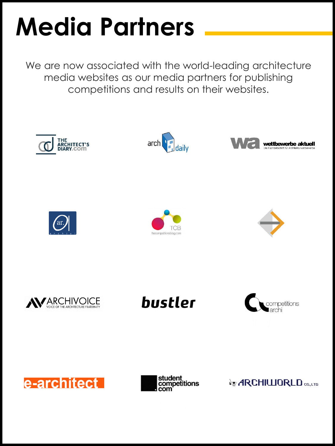## **Media Partners**

We are now associated with the world-leading architecture media websites as our media partners for publishing competitions and results on their websites.